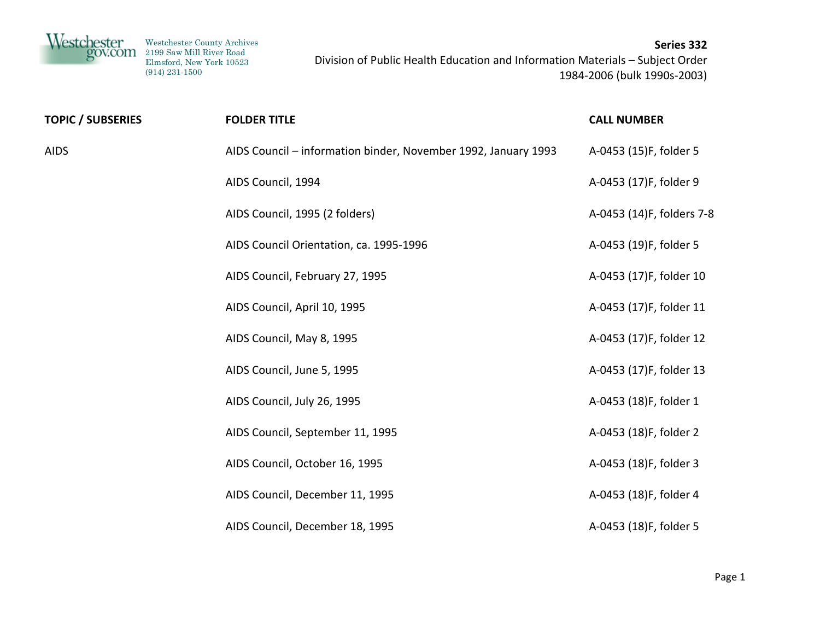| Westchester<br>gov.com<br>Westchester County Archives<br>2199 Saw Mill River Road<br>Elmsford, New York 10523<br>$(914)$ 231-1500 |                     | Series 332<br>Division of Public Health Education and Information Materials - Subject Order<br>1984-2006 (bulk 1990s-2003) |
|-----------------------------------------------------------------------------------------------------------------------------------|---------------------|----------------------------------------------------------------------------------------------------------------------------|
| <b>TOPIC / SUBSERIES</b>                                                                                                          | <b>FOLDER TITLE</b> | <b>CALL NUMBER</b>                                                                                                         |

AIDS

| S | AIDS Council – information binder, November 1992, January 1993 | A-0453 (15)F, folder 5    |
|---|----------------------------------------------------------------|---------------------------|
|   | AIDS Council, 1994                                             | A-0453 (17)F, folder 9    |
|   | AIDS Council, 1995 (2 folders)                                 | A-0453 (14)F, folders 7-8 |
|   | AIDS Council Orientation, ca. 1995-1996                        | A-0453 (19)F, folder 5    |
|   | AIDS Council, February 27, 1995                                | A-0453 (17)F, folder 10   |
|   | AIDS Council, April 10, 1995                                   | A-0453 (17)F, folder 11   |
|   | AIDS Council, May 8, 1995                                      | A-0453 (17)F, folder 12   |
|   | AIDS Council, June 5, 1995                                     | A-0453 (17)F, folder 13   |
|   | AIDS Council, July 26, 1995                                    | A-0453 (18)F, folder 1    |
|   | AIDS Council, September 11, 1995                               | A-0453 (18)F, folder 2    |
|   | AIDS Council, October 16, 1995                                 | A-0453 (18)F, folder 3    |
|   | AIDS Council, December 11, 1995                                | A-0453 (18)F, folder 4    |
|   | AIDS Council, December 18, 1995                                | A-0453 (18)F, folder 5    |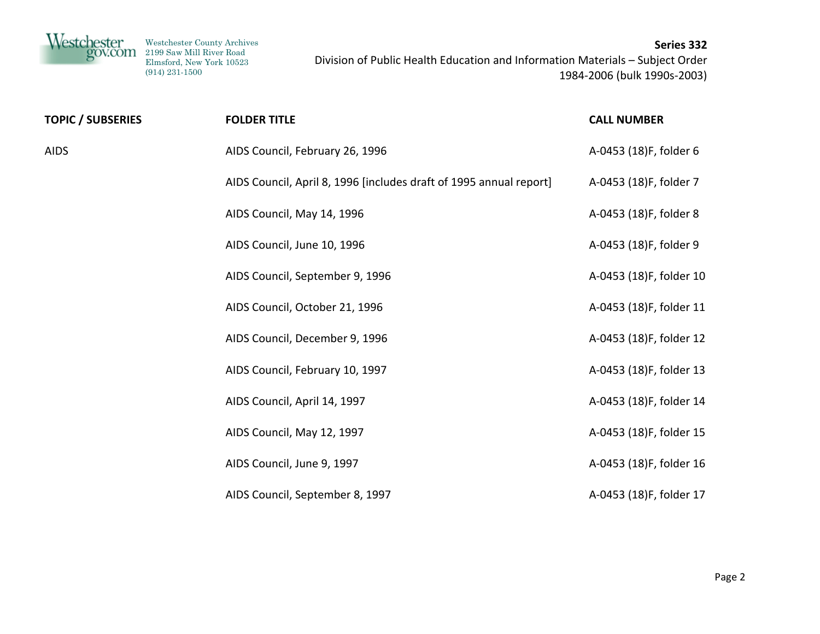| <b>TOPIC / SUBSERIES</b> | <b>FOLDER TITLE</b>                                                | <b>CALL NUMBER</b>      |
|--------------------------|--------------------------------------------------------------------|-------------------------|
| <b>AIDS</b>              | AIDS Council, February 26, 1996                                    | A-0453 (18)F, folder 6  |
|                          | AIDS Council, April 8, 1996 [includes draft of 1995 annual report] | A-0453 (18)F, folder 7  |
|                          | AIDS Council, May 14, 1996                                         | A-0453 (18)F, folder 8  |
|                          | AIDS Council, June 10, 1996                                        | A-0453 (18)F, folder 9  |
|                          | AIDS Council, September 9, 1996                                    | A-0453 (18)F, folder 10 |
|                          | AIDS Council, October 21, 1996                                     | A-0453 (18)F, folder 11 |
|                          | AIDS Council, December 9, 1996                                     | A-0453 (18)F, folder 12 |
|                          | AIDS Council, February 10, 1997                                    | A-0453 (18)F, folder 13 |
|                          | AIDS Council, April 14, 1997                                       | A-0453 (18)F, folder 14 |
|                          | AIDS Council, May 12, 1997                                         | A-0453 (18)F, folder 15 |
|                          | AIDS Council, June 9, 1997                                         | A-0453 (18)F, folder 16 |
|                          | AIDS Council, September 8, 1997                                    | A-0453 (18)F, folder 17 |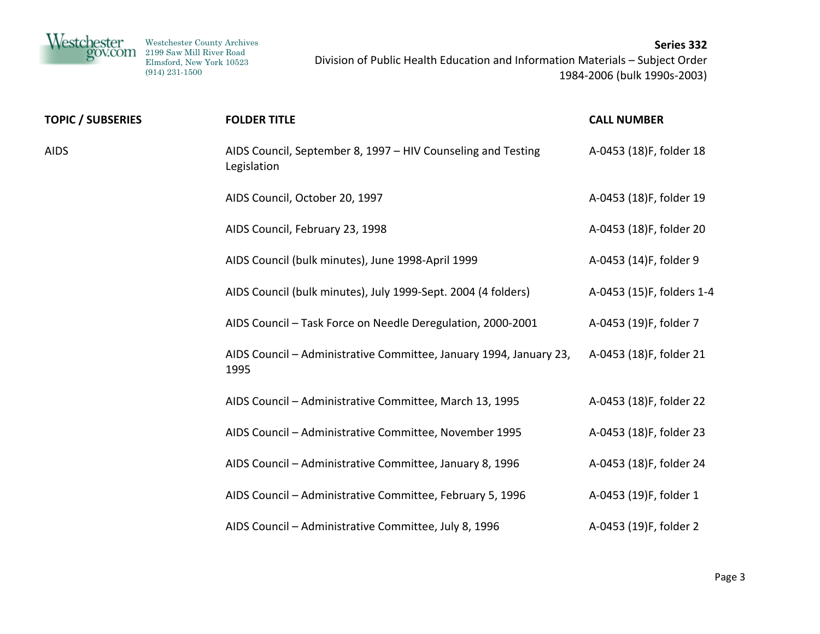| Westchester<br>POV.COM   | Westchester County Archives<br>2199 Saw Mill River Road<br>Elmsford, New York 10523<br>$(914)$ $231-1500$ | Division of Public Health Education and Information Materials - Subject Order | Series 332<br>1984-2006 (bulk 1990s-2003) |
|--------------------------|-----------------------------------------------------------------------------------------------------------|-------------------------------------------------------------------------------|-------------------------------------------|
| <b>TOPIC / SUBSERIES</b> |                                                                                                           | <b>FOLDER TITLE</b>                                                           | <b>CALL NUMBER</b>                        |
| <b>AIDS</b>              |                                                                                                           | AIDS Council, September 8, 1997 - HIV Counseling and Testing<br>Legislation   | A-0453 (18)F, folder 18                   |
|                          |                                                                                                           | AIDS Council, October 20, 1997                                                | A-0453 (18)F, folder 19                   |
|                          |                                                                                                           | AIDS Council, February 23, 1998                                               | A-0453 (18)F, folder 20                   |
|                          |                                                                                                           | AIDS Council (bulk minutes), June 1998-April 1999                             | A-0453 (14)F, folder 9                    |
|                          |                                                                                                           | AIDS Council (bulk minutes), July 1999-Sept. 2004 (4 folders)                 | A-0453 (15)F, folders 1-4                 |
|                          |                                                                                                           | AIDS Council - Task Force on Needle Deregulation, 2000-2001                   | A-0453 (19)F, folder 7                    |
|                          | 1995                                                                                                      | AIDS Council - Administrative Committee, January 1994, January 23,            | A-0453 (18)F, folder 21                   |
|                          |                                                                                                           | AIDS Council - Administrative Committee, March 13, 1995                       | A-0453 (18)F, folder 22                   |
|                          |                                                                                                           | AIDS Council - Administrative Committee, November 1995                        | A-0453 (18)F, folder 23                   |
|                          |                                                                                                           | AIDS Council - Administrative Committee, January 8, 1996                      | A-0453 (18)F, folder 24                   |
|                          |                                                                                                           | AIDS Council - Administrative Committee, February 5, 1996                     | A-0453 (19)F, folder 1                    |
|                          |                                                                                                           | AIDS Council - Administrative Committee, July 8, 1996                         | A-0453 (19)F, folder 2                    |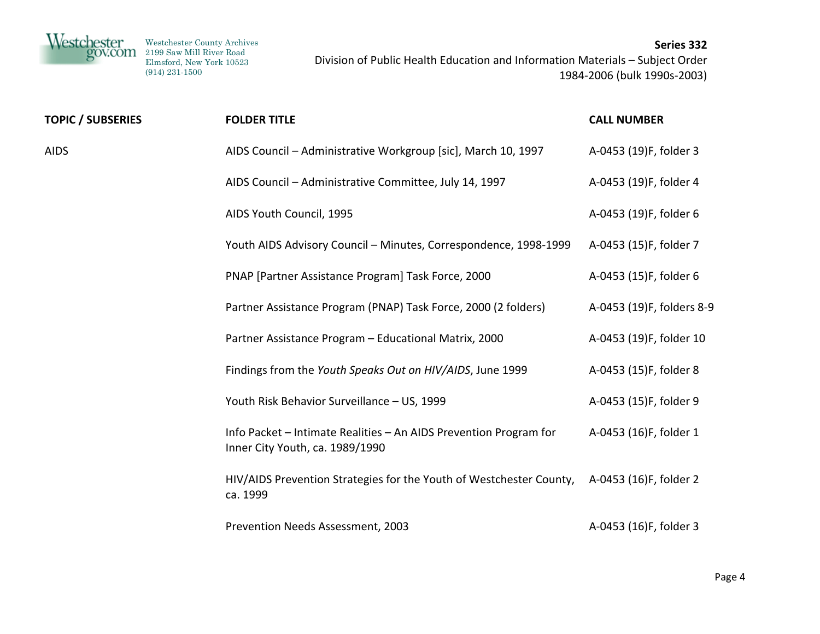| Westchester<br>gov.com | Westchester County Archives<br>2199 Saw Mill River Road | Series 332                                                                    |
|------------------------|---------------------------------------------------------|-------------------------------------------------------------------------------|
|                        | Elmsford, New York 10523                                | Division of Public Health Education and Information Materials - Subject Order |
|                        | $(914)$ 231-1500                                        | 1984-2006 (bulk 1990s-2003)                                                   |
|                        |                                                         |                                                                               |

| <b>TOPIC / SUBSERIES</b> | <b>FOLDER TITLE</b>                                                                                  | <b>CALL NUMBER</b>        |
|--------------------------|------------------------------------------------------------------------------------------------------|---------------------------|
| <b>AIDS</b>              | AIDS Council - Administrative Workgroup [sic], March 10, 1997                                        | A-0453 (19)F, folder 3    |
|                          | AIDS Council - Administrative Committee, July 14, 1997                                               | A-0453 (19)F, folder 4    |
|                          | AIDS Youth Council, 1995                                                                             | A-0453 (19)F, folder 6    |
|                          | Youth AIDS Advisory Council - Minutes, Correspondence, 1998-1999                                     | A-0453 (15)F, folder 7    |
|                          | PNAP [Partner Assistance Program] Task Force, 2000                                                   | A-0453 (15)F, folder 6    |
|                          | Partner Assistance Program (PNAP) Task Force, 2000 (2 folders)                                       | A-0453 (19)F, folders 8-9 |
|                          | Partner Assistance Program - Educational Matrix, 2000                                                | A-0453 (19)F, folder 10   |
|                          | Findings from the Youth Speaks Out on HIV/AIDS, June 1999                                            | A-0453 (15)F, folder 8    |
|                          | Youth Risk Behavior Surveillance - US, 1999                                                          | A-0453 (15)F, folder 9    |
|                          | Info Packet - Intimate Realities - An AIDS Prevention Program for<br>Inner City Youth, ca. 1989/1990 | A-0453 (16)F, folder 1    |
|                          | HIV/AIDS Prevention Strategies for the Youth of Westchester County,<br>ca. 1999                      | A-0453 (16)F, folder 2    |
|                          | Prevention Needs Assessment, 2003                                                                    | A-0453 (16)F, folder 3    |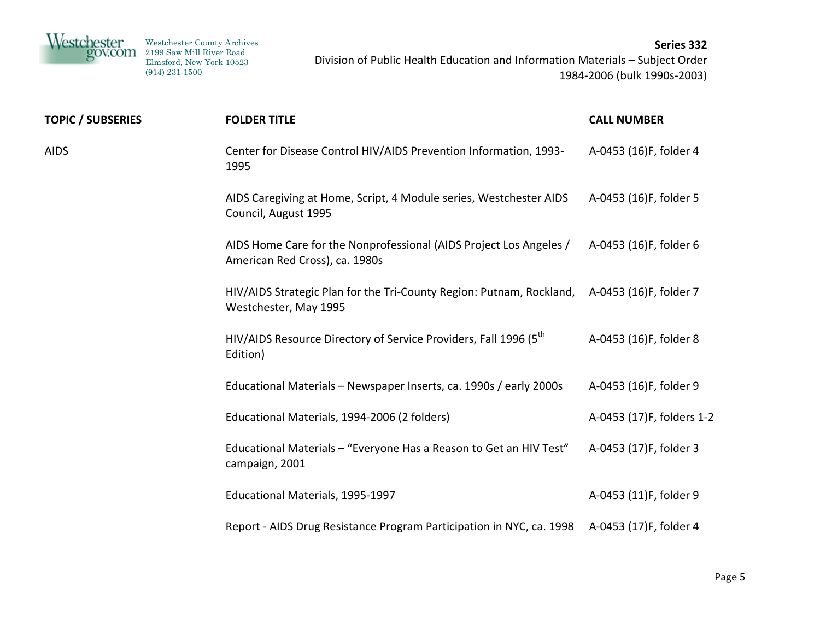| <b>TOPIC / SUBSERIES</b> | <b>FOLDER TITLE</b>                                                                                                  | <b>CALL NUMBER</b>        |
|--------------------------|----------------------------------------------------------------------------------------------------------------------|---------------------------|
| <b>AIDS</b>              | Center for Disease Control HIV/AIDS Prevention Information, 1993-<br>1995                                            | A-0453 (16)F, folder 4    |
|                          | AIDS Caregiving at Home, Script, 4 Module series, Westchester AIDS<br>Council, August 1995                           | A-0453 (16)F, folder 5    |
|                          | AIDS Home Care for the Nonprofessional (AIDS Project Los Angeles /<br>American Red Cross), ca. 1980s                 | A-0453 (16)F, folder 6    |
|                          | HIV/AIDS Strategic Plan for the Tri-County Region: Putnam, Rockland, A-0453 (16)F, folder 7<br>Westchester, May 1995 |                           |
|                          | HIV/AIDS Resource Directory of Service Providers, Fall 1996 (5 <sup>th</sup> )<br>Edition)                           | A-0453 (16)F, folder 8    |
|                          | Educational Materials - Newspaper Inserts, ca. 1990s / early 2000s                                                   | A-0453 (16)F, folder 9    |
|                          | Educational Materials, 1994-2006 (2 folders)                                                                         | A-0453 (17)F, folders 1-2 |
|                          | Educational Materials - "Everyone Has a Reason to Get an HIV Test"<br>campaign, 2001                                 | A-0453 (17)F, folder 3    |
|                          | Educational Materials, 1995-1997                                                                                     | A-0453 (11)F, folder 9    |
|                          | Report - AIDS Drug Resistance Program Participation in NYC, ca. 1998 A-0453 (17)F, folder 4                          |                           |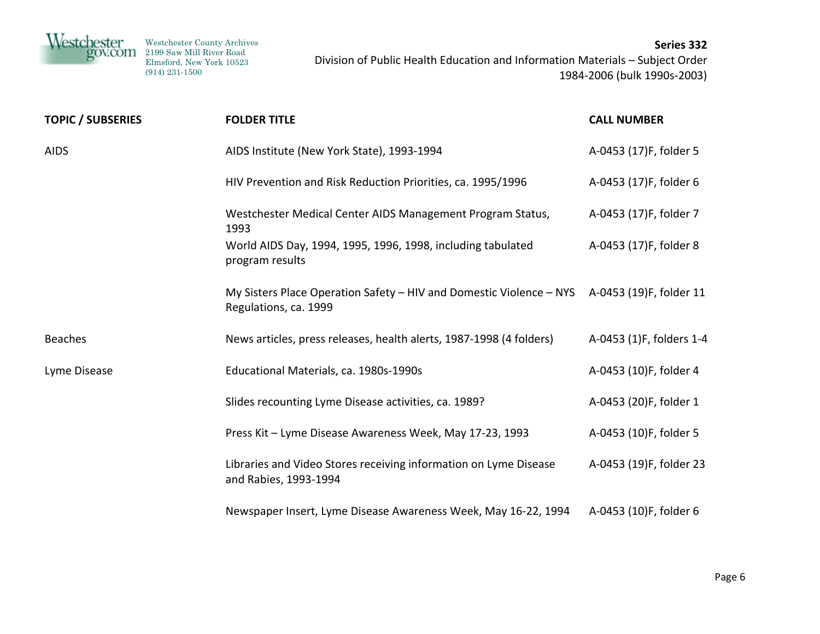Westchester Westchester County Archives 2199 Saw Mill River Road Elmsford, New York 10523 (914) 231-1500 **Series 332** Division of Public Health Education and Information Materials – Subject Order 1984‐2006 (bulk 1990s‐2003)

| <b>TOPIC / SUBSERIES</b> | <b>FOLDER TITLE</b>                                                                                                  | <b>CALL NUMBER</b>       |
|--------------------------|----------------------------------------------------------------------------------------------------------------------|--------------------------|
| <b>AIDS</b>              | AIDS Institute (New York State), 1993-1994                                                                           | A-0453 (17)F, folder 5   |
|                          | HIV Prevention and Risk Reduction Priorities, ca. 1995/1996                                                          | A-0453 (17)F, folder 6   |
|                          | Westchester Medical Center AIDS Management Program Status,<br>1993                                                   | A-0453 (17)F, folder 7   |
|                          | World AIDS Day, 1994, 1995, 1996, 1998, including tabulated<br>program results                                       | A-0453 (17)F, folder 8   |
|                          | My Sisters Place Operation Safety - HIV and Domestic Violence - NYS A-0453 (19)F, folder 11<br>Regulations, ca. 1999 |                          |
| <b>Beaches</b>           | News articles, press releases, health alerts, 1987-1998 (4 folders)                                                  | A-0453 (1)F, folders 1-4 |
| Lyme Disease             | Educational Materials, ca. 1980s-1990s                                                                               | A-0453 (10)F, folder 4   |
|                          | Slides recounting Lyme Disease activities, ca. 1989?                                                                 | A-0453 (20)F, folder 1   |
|                          | Press Kit - Lyme Disease Awareness Week, May 17-23, 1993                                                             | A-0453 (10)F, folder 5   |
|                          | Libraries and Video Stores receiving information on Lyme Disease<br>and Rabies, 1993-1994                            | A-0453 (19)F, folder 23  |
|                          | Newspaper Insert, Lyme Disease Awareness Week, May 16-22, 1994                                                       | A-0453 (10)F, folder 6   |
|                          |                                                                                                                      |                          |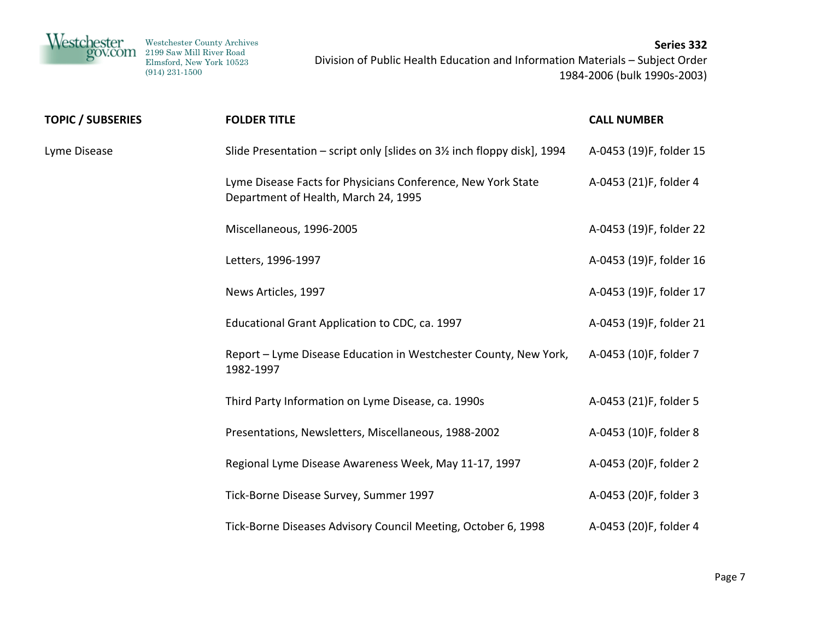Westchester Westchester County Archives 2199 Saw Mill River Road Elmsford, New York 10523 (914) 231-1500 **Series 332** Division of Public Health Education and Information Materials – Subject Order 1984‐2006 (bulk 1990s‐2003)

| <b>TOPIC / SUBSERIES</b> | <b>FOLDER TITLE</b>                                                                                  | <b>CALL NUMBER</b>      |
|--------------------------|------------------------------------------------------------------------------------------------------|-------------------------|
| Lyme Disease             | Slide Presentation - script only [slides on 3½ inch floppy disk], 1994                               | A-0453 (19)F, folder 15 |
|                          | Lyme Disease Facts for Physicians Conference, New York State<br>Department of Health, March 24, 1995 | A-0453 (21)F, folder 4  |
|                          | Miscellaneous, 1996-2005                                                                             | A-0453 (19)F, folder 22 |
|                          | Letters, 1996-1997                                                                                   | A-0453 (19)F, folder 16 |
|                          | News Articles, 1997                                                                                  | A-0453 (19)F, folder 17 |
|                          | Educational Grant Application to CDC, ca. 1997                                                       | A-0453 (19)F, folder 21 |
|                          | Report - Lyme Disease Education in Westchester County, New York,<br>1982-1997                        | A-0453 (10)F, folder 7  |
|                          | Third Party Information on Lyme Disease, ca. 1990s                                                   | A-0453 (21)F, folder 5  |
|                          | Presentations, Newsletters, Miscellaneous, 1988-2002                                                 | A-0453 (10)F, folder 8  |
|                          | Regional Lyme Disease Awareness Week, May 11-17, 1997                                                | A-0453 (20)F, folder 2  |
|                          | Tick-Borne Disease Survey, Summer 1997                                                               | A-0453 (20)F, folder 3  |
|                          | Tick-Borne Diseases Advisory Council Meeting, October 6, 1998                                        | A-0453 (20)F, folder 4  |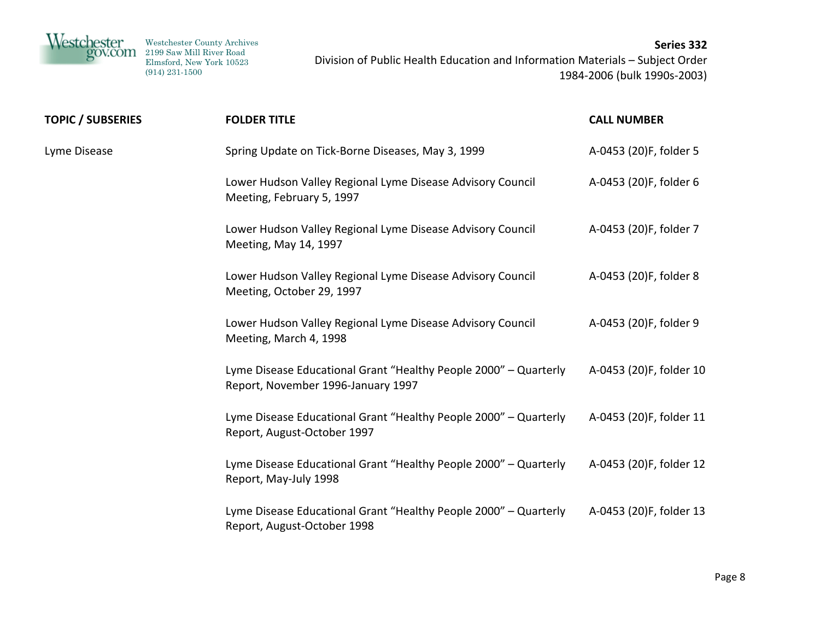

| <b>TOPIC / SUBSERIES</b> | <b>FOLDER TITLE</b>                                                                                    | <b>CALL NUMBER</b>      |
|--------------------------|--------------------------------------------------------------------------------------------------------|-------------------------|
| Lyme Disease             | Spring Update on Tick-Borne Diseases, May 3, 1999                                                      | A-0453 (20)F, folder 5  |
|                          | Lower Hudson Valley Regional Lyme Disease Advisory Council<br>Meeting, February 5, 1997                | A-0453 (20)F, folder 6  |
|                          | Lower Hudson Valley Regional Lyme Disease Advisory Council<br>Meeting, May 14, 1997                    | A-0453 (20)F, folder 7  |
|                          | Lower Hudson Valley Regional Lyme Disease Advisory Council<br>Meeting, October 29, 1997                | A-0453 (20)F, folder 8  |
|                          | Lower Hudson Valley Regional Lyme Disease Advisory Council<br>Meeting, March 4, 1998                   | A-0453 (20)F, folder 9  |
|                          | Lyme Disease Educational Grant "Healthy People 2000" - Quarterly<br>Report, November 1996-January 1997 | A-0453 (20)F, folder 10 |
|                          | Lyme Disease Educational Grant "Healthy People 2000" - Quarterly<br>Report, August-October 1997        | A-0453 (20)F, folder 11 |
|                          | Lyme Disease Educational Grant "Healthy People 2000" - Quarterly<br>Report, May-July 1998              | A-0453 (20)F, folder 12 |
|                          | Lyme Disease Educational Grant "Healthy People 2000" - Quarterly<br>Report, August-October 1998        | A-0453 (20)F, folder 13 |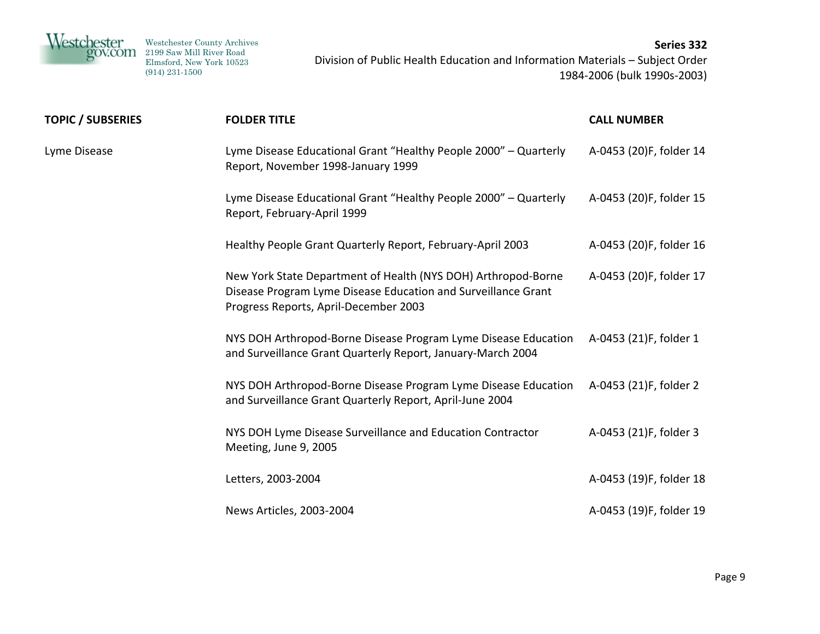| Westchester<br>gov.com | Westchester County Archives<br>2199 Saw Mill River Road<br>Elmsford, New York 10523<br>$(914)$ 231-1500 | Series 332<br>Division of Public Health Education and Information Materials - Subject Order<br>1984-2006 (bulk 1990s-2003) |
|------------------------|---------------------------------------------------------------------------------------------------------|----------------------------------------------------------------------------------------------------------------------------|
|                        |                                                                                                         |                                                                                                                            |

**TOPIC / SUBSERIES FOLDER TITLE CALL NUMBER**

| Lyme Disease | Lyme Disease Educational Grant "Healthy People 2000" - Quarterly<br>Report, November 1998-January 1999                                                                  | A-0453 (20)F, folder 14 |
|--------------|-------------------------------------------------------------------------------------------------------------------------------------------------------------------------|-------------------------|
|              | Lyme Disease Educational Grant "Healthy People 2000" - Quarterly<br>Report, February-April 1999                                                                         | A-0453 (20)F, folder 15 |
|              | Healthy People Grant Quarterly Report, February-April 2003                                                                                                              | A-0453 (20)F, folder 16 |
|              | New York State Department of Health (NYS DOH) Arthropod-Borne<br>Disease Program Lyme Disease Education and Surveillance Grant<br>Progress Reports, April-December 2003 | A-0453 (20)F, folder 17 |
|              | NYS DOH Arthropod-Borne Disease Program Lyme Disease Education<br>and Surveillance Grant Quarterly Report, January-March 2004                                           | A-0453 (21)F, folder 1  |
|              | NYS DOH Arthropod-Borne Disease Program Lyme Disease Education<br>and Surveillance Grant Quarterly Report, April-June 2004                                              | A-0453 (21)F, folder 2  |
|              | NYS DOH Lyme Disease Surveillance and Education Contractor<br>Meeting, June 9, 2005                                                                                     | A-0453 (21)F, folder 3  |
|              | Letters, 2003-2004                                                                                                                                                      | A-0453 (19)F, folder 18 |
|              | News Articles, 2003-2004                                                                                                                                                | A-0453 (19)F, folder 19 |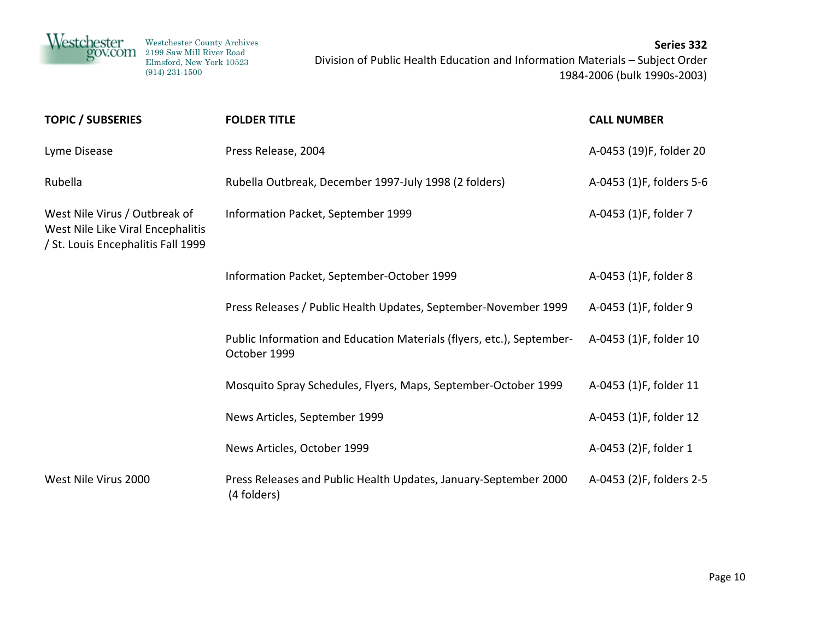| <b>TOPIC / SUBSERIES</b>                                                                                 | <b>FOLDER TITLE</b>                                                                   | <b>CALL NUMBER</b>       |
|----------------------------------------------------------------------------------------------------------|---------------------------------------------------------------------------------------|--------------------------|
| Lyme Disease                                                                                             | Press Release, 2004                                                                   | A-0453 (19)F, folder 20  |
| Rubella                                                                                                  | Rubella Outbreak, December 1997-July 1998 (2 folders)                                 | A-0453 (1)F, folders 5-6 |
| West Nile Virus / Outbreak of<br>West Nile Like Viral Encephalitis<br>/ St. Louis Encephalitis Fall 1999 | Information Packet, September 1999                                                    | A-0453 (1)F, folder 7    |
|                                                                                                          | Information Packet, September-October 1999                                            | A-0453 (1)F, folder 8    |
|                                                                                                          | Press Releases / Public Health Updates, September-November 1999                       | A-0453 (1)F, folder 9    |
|                                                                                                          | Public Information and Education Materials (flyers, etc.), September-<br>October 1999 | A-0453 (1)F, folder 10   |
|                                                                                                          | Mosquito Spray Schedules, Flyers, Maps, September-October 1999                        | A-0453 (1)F, folder 11   |
|                                                                                                          | News Articles, September 1999                                                         | A-0453 (1)F, folder 12   |
|                                                                                                          | News Articles, October 1999                                                           | A-0453 (2)F, folder 1    |
| West Nile Virus 2000                                                                                     | Press Releases and Public Health Updates, January-September 2000<br>(4 folders)       | A-0453 (2)F, folders 2-5 |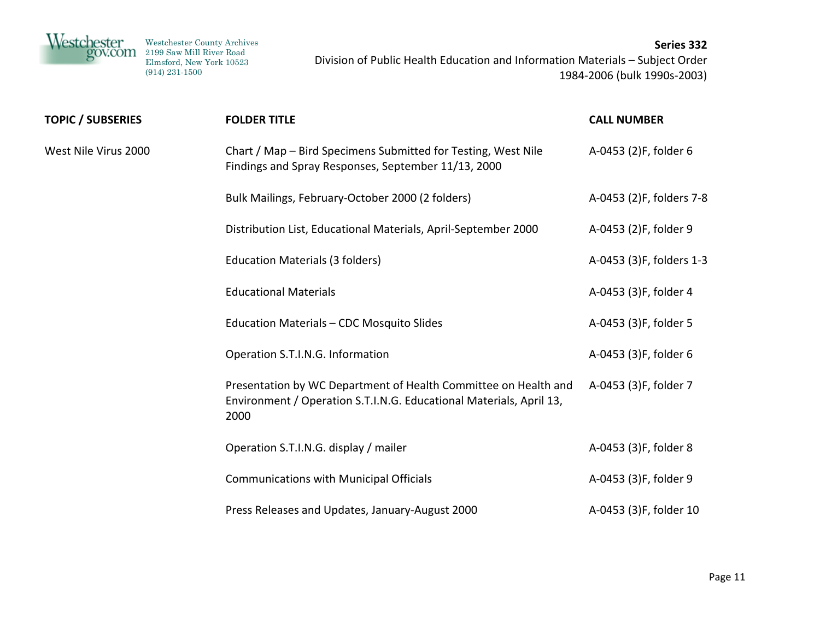

| <b>TOPIC / SUBSERIES</b> | <b>FOLDER TITLE</b>                                                                                                                            | <b>CALL NUMBER</b>       |
|--------------------------|------------------------------------------------------------------------------------------------------------------------------------------------|--------------------------|
| West Nile Virus 2000     | Chart / Map – Bird Specimens Submitted for Testing, West Nile<br>Findings and Spray Responses, September 11/13, 2000                           | A-0453 (2)F, folder 6    |
|                          | Bulk Mailings, February-October 2000 (2 folders)                                                                                               | A-0453 (2)F, folders 7-8 |
|                          | Distribution List, Educational Materials, April-September 2000                                                                                 | A-0453 (2)F, folder 9    |
|                          | <b>Education Materials (3 folders)</b>                                                                                                         | A-0453 (3)F, folders 1-3 |
|                          | <b>Educational Materials</b>                                                                                                                   | A-0453 (3)F, folder 4    |
|                          | Education Materials - CDC Mosquito Slides                                                                                                      | A-0453 (3)F, folder 5    |
|                          | Operation S.T.I.N.G. Information                                                                                                               | A-0453 (3)F, folder 6    |
|                          | Presentation by WC Department of Health Committee on Health and<br>Environment / Operation S.T.I.N.G. Educational Materials, April 13,<br>2000 | A-0453 (3)F, folder 7    |
|                          | Operation S.T.I.N.G. display / mailer                                                                                                          | A-0453 (3)F, folder 8    |
|                          | <b>Communications with Municipal Officials</b>                                                                                                 | A-0453 (3)F, folder 9    |
|                          | Press Releases and Updates, January-August 2000                                                                                                | A-0453 (3)F, folder 10   |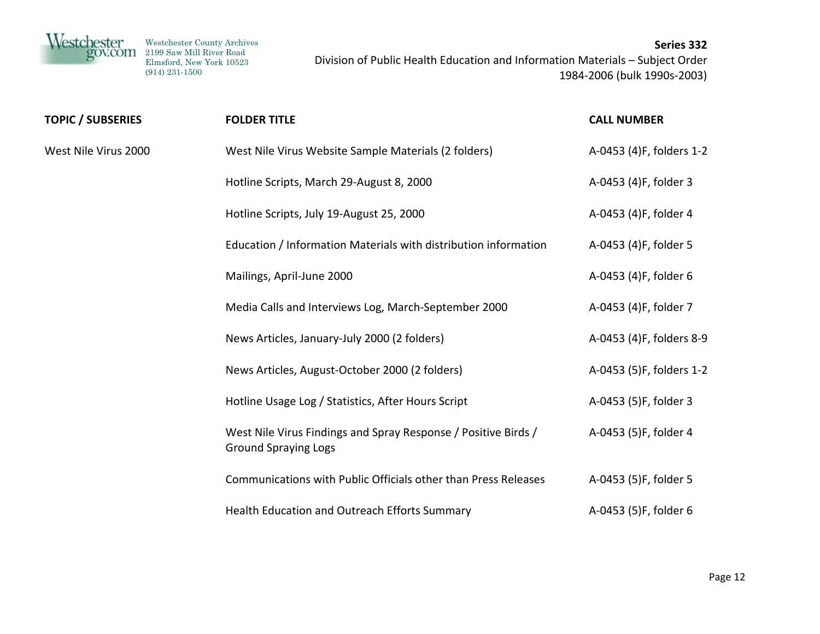

| <b>TOPIC / SUBSERIES</b> | <b>FOLDER TITLE</b>                                                                           | <b>CALL NUMBER</b>       |
|--------------------------|-----------------------------------------------------------------------------------------------|--------------------------|
| West Nile Virus 2000     | West Nile Virus Website Sample Materials (2 folders)                                          | A-0453 (4)F, folders 1-2 |
|                          | Hotline Scripts, March 29-August 8, 2000                                                      | A-0453 (4)F, folder 3    |
|                          | Hotline Scripts, July 19-August 25, 2000                                                      | A-0453 (4)F, folder 4    |
|                          | Education / Information Materials with distribution information                               | A-0453 (4)F, folder 5    |
|                          | Mailings, April-June 2000                                                                     | A-0453 (4)F, folder 6    |
|                          | Media Calls and Interviews Log, March-September 2000                                          | A-0453 (4)F, folder 7    |
|                          | News Articles, January-July 2000 (2 folders)                                                  | A-0453 (4)F, folders 8-9 |
|                          | News Articles, August-October 2000 (2 folders)                                                | A-0453 (5)F, folders 1-2 |
|                          | Hotline Usage Log / Statistics, After Hours Script                                            | A-0453 (5)F, folder 3    |
|                          | West Nile Virus Findings and Spray Response / Positive Birds /<br><b>Ground Spraying Logs</b> | A-0453 (5)F, folder 4    |
|                          | Communications with Public Officials other than Press Releases                                | A-0453 (5)F, folder 5    |
|                          | Health Education and Outreach Efforts Summary                                                 | A-0453 (5)F, folder 6    |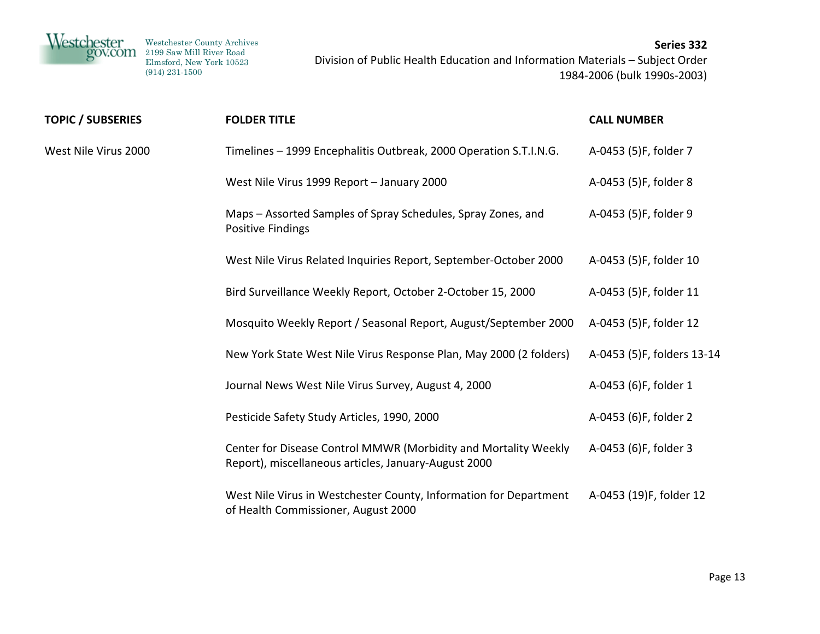

| TOPIC / SUBSERIES    | <b>FOLDER TITLE</b>                                                                                                     | <b>CALL NUMBER</b>         |
|----------------------|-------------------------------------------------------------------------------------------------------------------------|----------------------------|
| West Nile Virus 2000 | Timelines - 1999 Encephalitis Outbreak, 2000 Operation S.T.I.N.G.                                                       | A-0453 (5)F, folder 7      |
|                      | West Nile Virus 1999 Report - January 2000                                                                              | A-0453 (5)F, folder 8      |
|                      | Maps – Assorted Samples of Spray Schedules, Spray Zones, and<br>Positive Findings                                       | A-0453 (5)F, folder 9      |
|                      | West Nile Virus Related Inquiries Report, September-October 2000                                                        | A-0453 (5)F, folder 10     |
|                      | Bird Surveillance Weekly Report, October 2-October 15, 2000                                                             | A-0453 (5)F, folder 11     |
|                      | Mosquito Weekly Report / Seasonal Report, August/September 2000                                                         | A-0453 (5)F, folder 12     |
|                      | New York State West Nile Virus Response Plan, May 2000 (2 folders)                                                      | A-0453 (5)F, folders 13-14 |
|                      | Journal News West Nile Virus Survey, August 4, 2000                                                                     | A-0453 (6)F, folder 1      |
|                      | Pesticide Safety Study Articles, 1990, 2000                                                                             | A-0453 (6)F, folder 2      |
|                      | Center for Disease Control MMWR (Morbidity and Mortality Weekly<br>Report), miscellaneous articles, January-August 2000 | A-0453 (6)F, folder 3      |
|                      | West Nile Virus in Westchester County, Information for Department<br>of Health Commissioner, August 2000                | A-0453 (19)F, folder 12    |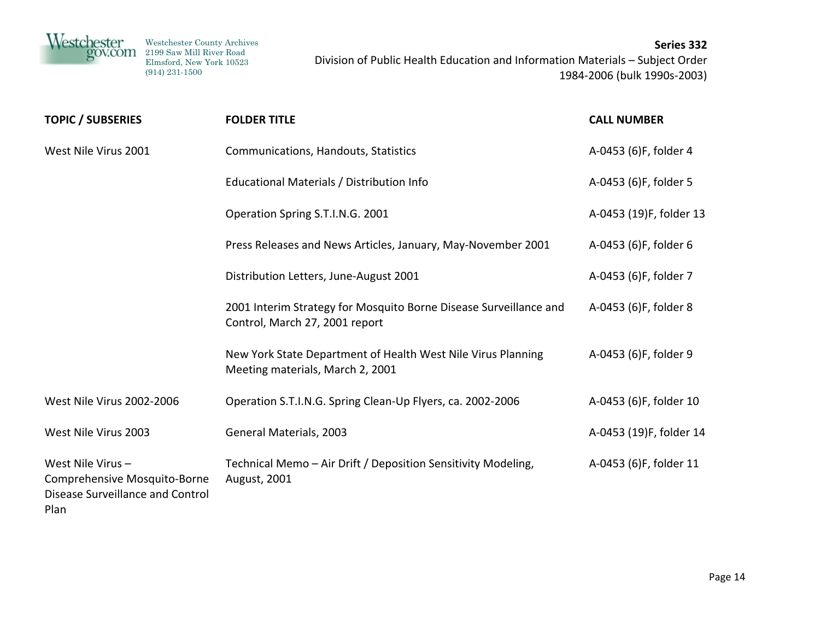

| <b>TOPIC / SUBSERIES</b>                                                                     | <b>FOLDER TITLE</b>                                                                                 | <b>CALL NUMBER</b>      |
|----------------------------------------------------------------------------------------------|-----------------------------------------------------------------------------------------------------|-------------------------|
| West Nile Virus 2001                                                                         | Communications, Handouts, Statistics                                                                | A-0453 (6)F, folder 4   |
|                                                                                              | Educational Materials / Distribution Info                                                           | A-0453 (6)F, folder 5   |
|                                                                                              | Operation Spring S.T.I.N.G. 2001                                                                    | A-0453 (19)F, folder 13 |
|                                                                                              | Press Releases and News Articles, January, May-November 2001                                        | A-0453 (6)F, folder 6   |
|                                                                                              | Distribution Letters, June-August 2001                                                              | A-0453 (6)F, folder 7   |
|                                                                                              | 2001 Interim Strategy for Mosquito Borne Disease Surveillance and<br>Control, March 27, 2001 report | A-0453 (6)F, folder 8   |
|                                                                                              | New York State Department of Health West Nile Virus Planning<br>Meeting materials, March 2, 2001    | A-0453 (6)F, folder 9   |
| West Nile Virus 2002-2006                                                                    | Operation S.T.I.N.G. Spring Clean-Up Flyers, ca. 2002-2006                                          | A-0453 (6)F, folder 10  |
| West Nile Virus 2003                                                                         | General Materials, 2003                                                                             | A-0453 (19)F, folder 14 |
| West Nile Virus-<br>Comprehensive Mosquito-Borne<br>Disease Surveillance and Control<br>Plan | Technical Memo - Air Drift / Deposition Sensitivity Modeling,<br>August, 2001                       | A-0453 (6)F, folder 11  |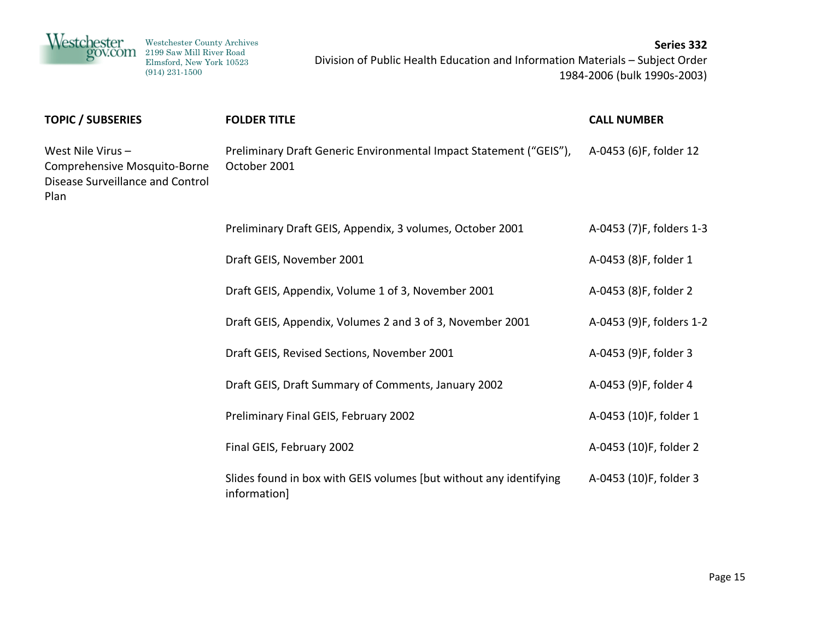| <i>Nestchester</i>                                                                           | Westchester County Archives<br>2199 Saw Mill River Road<br>Elmsford, New York 10523<br>$(914)$ 231-1500 | Division of Public Health Education and Information Materials - Subject Order      | Series 332<br>1984-2006 (bulk 1990s-2003) |
|----------------------------------------------------------------------------------------------|---------------------------------------------------------------------------------------------------------|------------------------------------------------------------------------------------|-------------------------------------------|
| <b>TOPIC / SUBSERIES</b>                                                                     |                                                                                                         | <b>FOLDER TITLE</b>                                                                | <b>CALL NUMBER</b>                        |
| West Nile Virus-<br>Comprehensive Mosquito-Borne<br>Disease Surveillance and Control<br>Plan |                                                                                                         | Preliminary Draft Generic Environmental Impact Statement ("GEIS"),<br>October 2001 | A-0453 (6)F, folder 12                    |
|                                                                                              |                                                                                                         | Preliminary Draft GEIS, Appendix, 3 volumes, October 2001                          | A-0453 (7)F, folders 1-3                  |
|                                                                                              |                                                                                                         | Draft GEIS, November 2001                                                          | A-0453 (8)F, folder 1                     |
|                                                                                              |                                                                                                         | Draft GEIS, Appendix, Volume 1 of 3, November 2001                                 | A-0453 (8)F, folder 2                     |
|                                                                                              |                                                                                                         | Draft GEIS, Appendix, Volumes 2 and 3 of 3, November 2001                          | A-0453 (9)F, folders 1-2                  |
|                                                                                              |                                                                                                         | Draft GEIS, Revised Sections, November 2001                                        | A-0453 (9)F, folder 3                     |
|                                                                                              |                                                                                                         | Draft GEIS, Draft Summary of Comments, January 2002                                | A-0453 (9)F, folder 4                     |
|                                                                                              |                                                                                                         | Preliminary Final GEIS, February 2002                                              | A-0453 (10)F, folder 1                    |
|                                                                                              |                                                                                                         | Final GEIS, February 2002                                                          | A-0453 (10)F, folder 2                    |
|                                                                                              |                                                                                                         | Slides found in box with GEIS volumes (but without any identifying<br>information] | A-0453 (10)F, folder 3                    |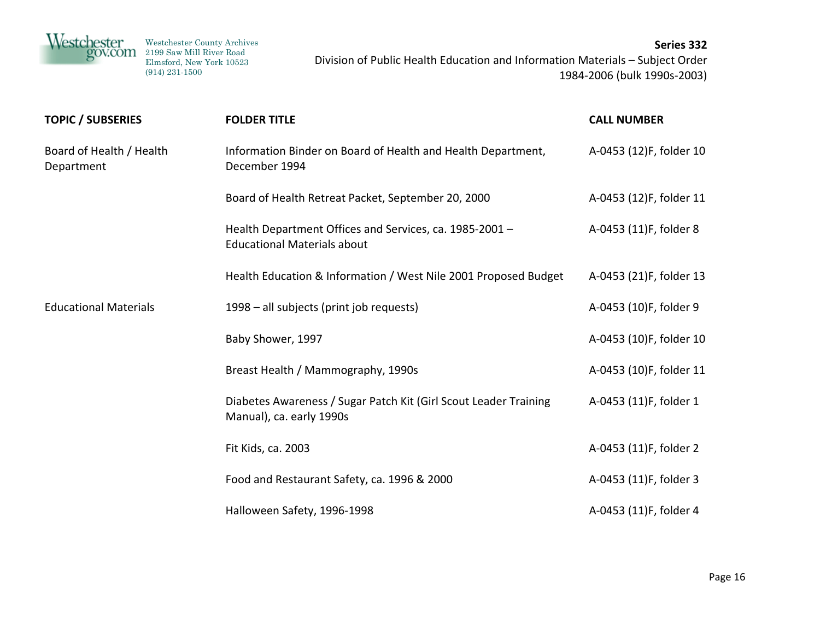

| <b>TOPIC / SUBSERIES</b>               | <b>FOLDER TITLE</b>                                                                           | <b>CALL NUMBER</b>      |
|----------------------------------------|-----------------------------------------------------------------------------------------------|-------------------------|
| Board of Health / Health<br>Department | Information Binder on Board of Health and Health Department,<br>December 1994                 | A-0453 (12)F, folder 10 |
|                                        | Board of Health Retreat Packet, September 20, 2000                                            | A-0453 (12)F, folder 11 |
|                                        | Health Department Offices and Services, ca. 1985-2001 -<br><b>Educational Materials about</b> | A-0453 (11)F, folder 8  |
|                                        | Health Education & Information / West Nile 2001 Proposed Budget                               | A-0453 (21)F, folder 13 |
| <b>Educational Materials</b>           | 1998 – all subjects (print job requests)                                                      | A-0453 (10)F, folder 9  |
|                                        | Baby Shower, 1997                                                                             | A-0453 (10)F, folder 10 |
|                                        | Breast Health / Mammography, 1990s                                                            | A-0453 (10)F, folder 11 |
|                                        | Diabetes Awareness / Sugar Patch Kit (Girl Scout Leader Training<br>Manual), ca. early 1990s  | A-0453 (11)F, folder 1  |
|                                        | Fit Kids, ca. 2003                                                                            | A-0453 (11)F, folder 2  |
|                                        | Food and Restaurant Safety, ca. 1996 & 2000                                                   | A-0453 (11)F, folder 3  |
|                                        | Halloween Safety, 1996-1998                                                                   | A-0453 (11)F, folder 4  |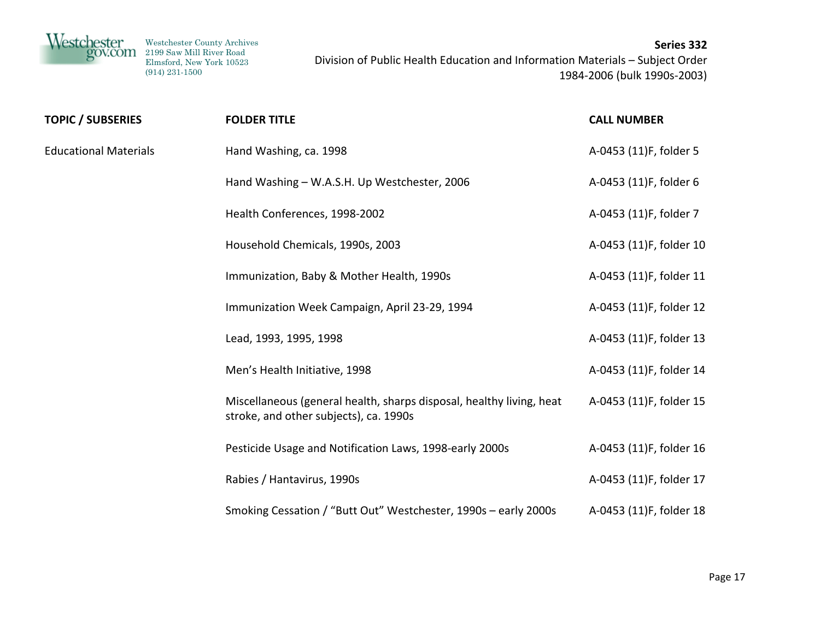

| <b>TOPIC / SUBSERIES</b>     | <b>FOLDER TITLE</b>                                                                                            | <b>CALL NUMBER</b>      |
|------------------------------|----------------------------------------------------------------------------------------------------------------|-------------------------|
| <b>Educational Materials</b> | Hand Washing, ca. 1998                                                                                         | A-0453 (11)F, folder 5  |
|                              | Hand Washing - W.A.S.H. Up Westchester, 2006                                                                   | A-0453 (11)F, folder 6  |
|                              | Health Conferences, 1998-2002                                                                                  | A-0453 (11)F, folder 7  |
|                              | Household Chemicals, 1990s, 2003                                                                               | A-0453 (11)F, folder 10 |
|                              | Immunization, Baby & Mother Health, 1990s                                                                      | A-0453 (11)F, folder 11 |
|                              | Immunization Week Campaign, April 23-29, 1994                                                                  | A-0453 (11)F, folder 12 |
|                              | Lead, 1993, 1995, 1998                                                                                         | A-0453 (11)F, folder 13 |
|                              | Men's Health Initiative, 1998                                                                                  | A-0453 (11)F, folder 14 |
|                              | Miscellaneous (general health, sharps disposal, healthy living, heat<br>stroke, and other subjects), ca. 1990s | A-0453 (11)F, folder 15 |
|                              | Pesticide Usage and Notification Laws, 1998-early 2000s                                                        | A-0453 (11)F, folder 16 |
|                              | Rabies / Hantavirus, 1990s                                                                                     | A-0453 (11)F, folder 17 |
|                              | Smoking Cessation / "Butt Out" Westchester, 1990s - early 2000s                                                | A-0453 (11)F, folder 18 |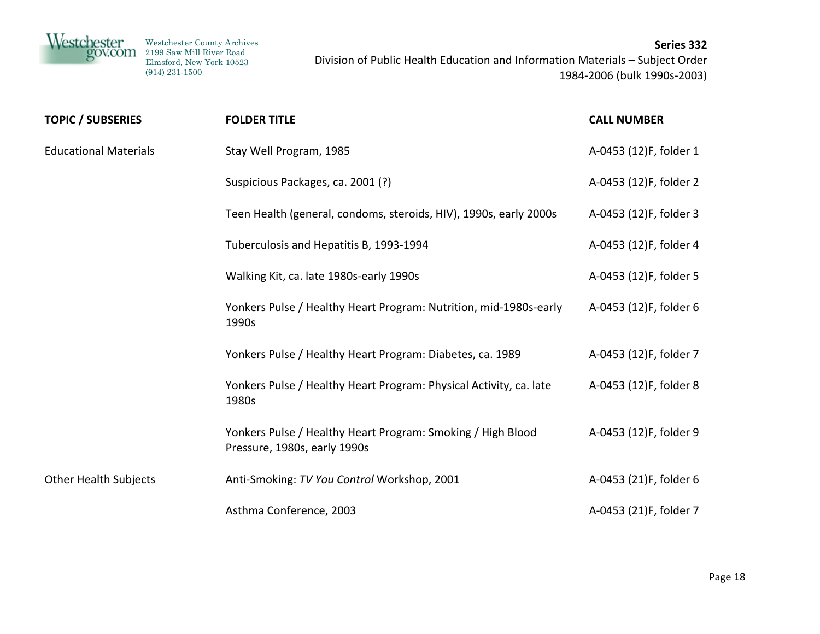

| <b>TOPIC / SUBSERIES</b>     | <b>FOLDER TITLE</b>                                                                         | <b>CALL NUMBER</b>     |
|------------------------------|---------------------------------------------------------------------------------------------|------------------------|
| <b>Educational Materials</b> | Stay Well Program, 1985                                                                     | A-0453 (12)F, folder 1 |
|                              | Suspicious Packages, ca. 2001 (?)                                                           | A-0453 (12)F, folder 2 |
|                              | Teen Health (general, condoms, steroids, HIV), 1990s, early 2000s                           | A-0453 (12)F, folder 3 |
|                              | Tuberculosis and Hepatitis B, 1993-1994                                                     | A-0453 (12)F, folder 4 |
|                              | Walking Kit, ca. late 1980s-early 1990s                                                     | A-0453 (12)F, folder 5 |
|                              | Yonkers Pulse / Healthy Heart Program: Nutrition, mid-1980s-early<br>1990s                  | A-0453 (12)F, folder 6 |
|                              | Yonkers Pulse / Healthy Heart Program: Diabetes, ca. 1989                                   | A-0453 (12)F, folder 7 |
|                              | Yonkers Pulse / Healthy Heart Program: Physical Activity, ca. late<br>1980s                 | A-0453 (12)F, folder 8 |
|                              | Yonkers Pulse / Healthy Heart Program: Smoking / High Blood<br>Pressure, 1980s, early 1990s | A-0453 (12)F, folder 9 |
| <b>Other Health Subjects</b> | Anti-Smoking: TV You Control Workshop, 2001                                                 | A-0453 (21)F, folder 6 |
|                              | Asthma Conference, 2003                                                                     | A-0453 (21)F, folder 7 |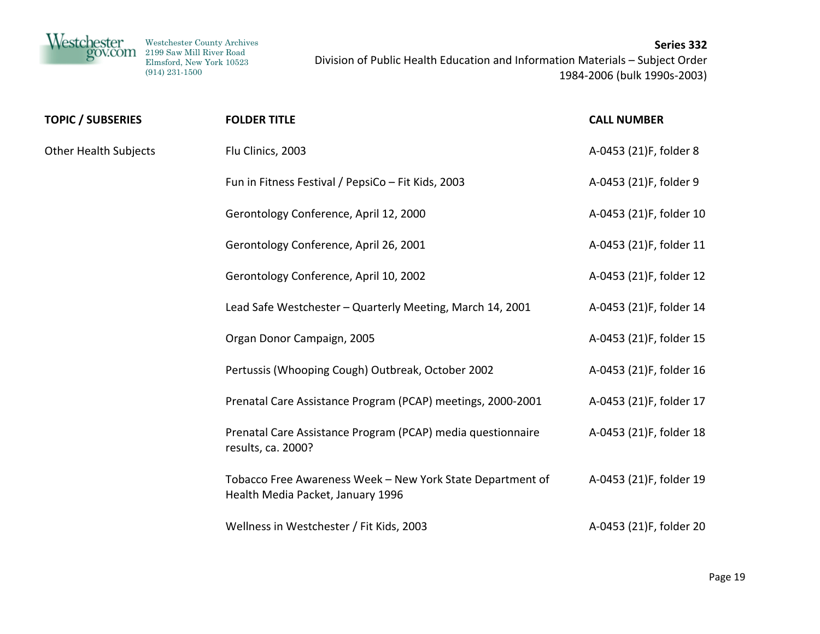

| <b>TOPIC / SUBSERIES</b>     | <b>FOLDER TITLE</b>                                                                             | <b>CALL NUMBER</b>      |
|------------------------------|-------------------------------------------------------------------------------------------------|-------------------------|
| <b>Other Health Subjects</b> | Flu Clinics, 2003                                                                               | A-0453 (21)F, folder 8  |
|                              | Fun in Fitness Festival / PepsiCo - Fit Kids, 2003                                              | A-0453 (21)F, folder 9  |
|                              | Gerontology Conference, April 12, 2000                                                          | A-0453 (21)F, folder 10 |
|                              | Gerontology Conference, April 26, 2001                                                          | A-0453 (21)F, folder 11 |
|                              | Gerontology Conference, April 10, 2002                                                          | A-0453 (21)F, folder 12 |
|                              | Lead Safe Westchester - Quarterly Meeting, March 14, 2001                                       | A-0453 (21)F, folder 14 |
|                              | Organ Donor Campaign, 2005                                                                      | A-0453 (21)F, folder 15 |
|                              | Pertussis (Whooping Cough) Outbreak, October 2002                                               | A-0453 (21)F, folder 16 |
|                              | Prenatal Care Assistance Program (PCAP) meetings, 2000-2001                                     | A-0453 (21)F, folder 17 |
|                              | Prenatal Care Assistance Program (PCAP) media questionnaire<br>results, ca. 2000?               | A-0453 (21)F, folder 18 |
|                              | Tobacco Free Awareness Week - New York State Department of<br>Health Media Packet, January 1996 | A-0453 (21)F, folder 19 |
|                              | Wellness in Westchester / Fit Kids, 2003                                                        | A-0453 (21)F, folder 20 |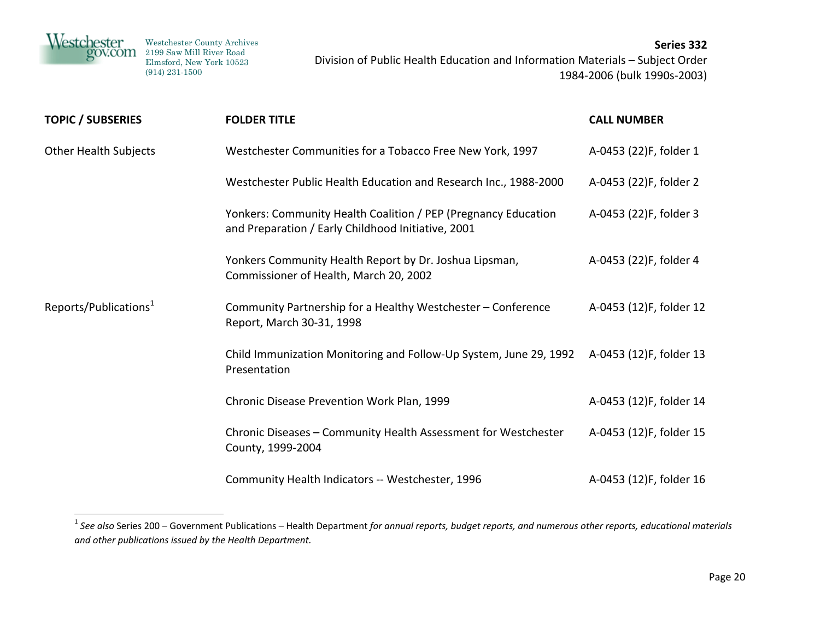| Westchester<br>gov.com | Westchester County Archives<br>2199 Saw Mill River Road<br>Elmsford, New York 10523<br>$(914)$ 231-1500 | Series 332<br>Division of Public Health Education and Information Materials - Subject Order<br>1984-2006 (bulk 1990s-2003) |
|------------------------|---------------------------------------------------------------------------------------------------------|----------------------------------------------------------------------------------------------------------------------------|
|                        |                                                                                                         |                                                                                                                            |

| <b>TOPIC / SUBSERIES</b>          | <b>FOLDER TITLE</b>                                                                                                  | <b>CALL NUMBER</b>      |
|-----------------------------------|----------------------------------------------------------------------------------------------------------------------|-------------------------|
| <b>Other Health Subjects</b>      | Westchester Communities for a Tobacco Free New York, 1997                                                            | A-0453 (22)F, folder 1  |
|                                   | Westchester Public Health Education and Research Inc., 1988-2000                                                     | A-0453 (22)F, folder 2  |
|                                   | Yonkers: Community Health Coalition / PEP (Pregnancy Education<br>and Preparation / Early Childhood Initiative, 2001 | A-0453 (22)F, folder 3  |
|                                   | Yonkers Community Health Report by Dr. Joshua Lipsman,<br>Commissioner of Health, March 20, 2002                     | A-0453 (22)F, folder 4  |
| Reports/Publications <sup>1</sup> | Community Partnership for a Healthy Westchester - Conference<br>Report, March 30-31, 1998                            | A-0453 (12)F, folder 12 |
|                                   | Child Immunization Monitoring and Follow-Up System, June 29, 1992<br>Presentation                                    | A-0453 (12)F, folder 13 |
|                                   | Chronic Disease Prevention Work Plan, 1999                                                                           | A-0453 (12)F, folder 14 |
|                                   | Chronic Diseases - Community Health Assessment for Westchester<br>County, 1999-2004                                  | A-0453 (12)F, folder 15 |
|                                   | Community Health Indicators -- Westchester, 1996                                                                     | A-0453 (12)F, folder 16 |

 $^1$  See also Series 200 – Government Publications – Health Department for annual reports, budget reports, and numerous other reports, educational materials *and other publications issued by the Health Department.*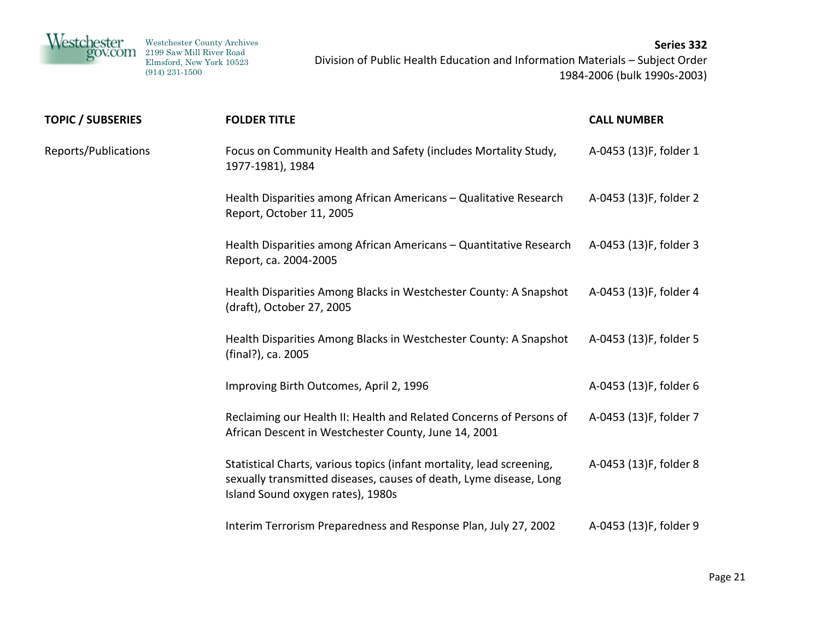

| <b>TOPIC / SUBSERIES</b> | <b>FOLDER TITLE</b>                                                                                                                                                              | <b>CALL NUMBER</b>     |
|--------------------------|----------------------------------------------------------------------------------------------------------------------------------------------------------------------------------|------------------------|
| Reports/Publications     | Focus on Community Health and Safety (includes Mortality Study,<br>1977-1981), 1984                                                                                              | A-0453 (13)F, folder 1 |
|                          | Health Disparities among African Americans - Qualitative Research<br>Report, October 11, 2005                                                                                    | A-0453 (13)F, folder 2 |
|                          | Health Disparities among African Americans - Quantitative Research<br>Report, ca. 2004-2005                                                                                      | A-0453 (13)F, folder 3 |
|                          | Health Disparities Among Blacks in Westchester County: A Snapshot<br>(draft), October 27, 2005                                                                                   | A-0453 (13)F, folder 4 |
|                          | Health Disparities Among Blacks in Westchester County: A Snapshot<br>(final?), ca. 2005                                                                                          | A-0453 (13)F, folder 5 |
|                          | Improving Birth Outcomes, April 2, 1996                                                                                                                                          | A-0453 (13)F, folder 6 |
|                          | Reclaiming our Health II: Health and Related Concerns of Persons of<br>African Descent in Westchester County, June 14, 2001                                                      | A-0453 (13)F, folder 7 |
|                          | Statistical Charts, various topics (infant mortality, lead screening,<br>sexually transmitted diseases, causes of death, Lyme disease, Long<br>Island Sound oxygen rates), 1980s | A-0453 (13)F, folder 8 |
|                          | Interim Terrorism Preparedness and Response Plan, July 27, 2002                                                                                                                  | A-0453 (13)F, folder 9 |